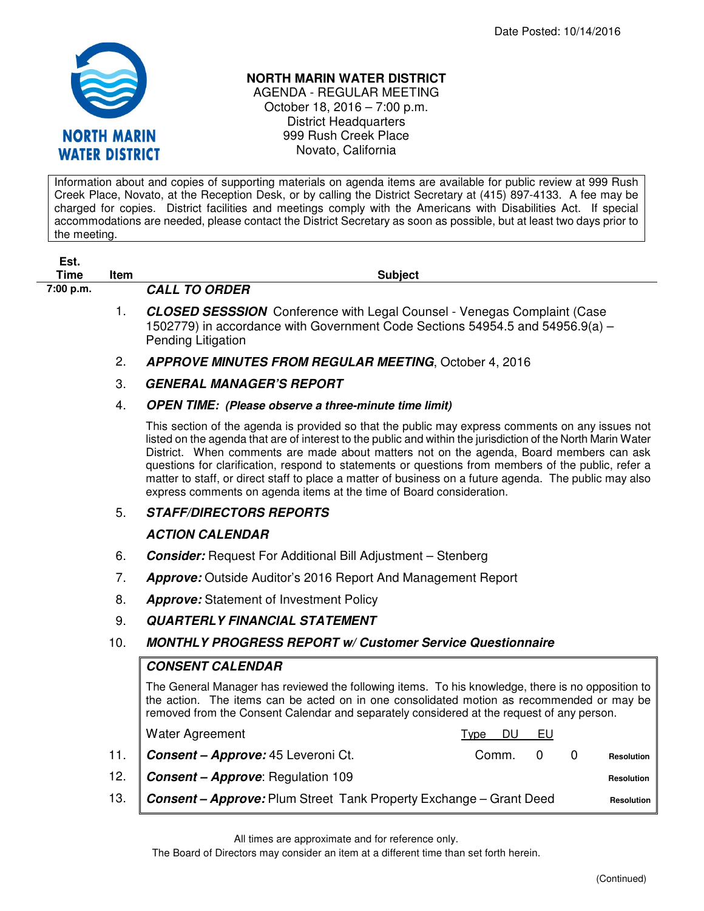

## **NORTH MARIN WATER DISTRICT**

AGENDA - REGULAR MEETING October 18, 2016 – 7:00 p.m. District Headquarters 999 Rush Creek Place Novato, California

Information about and copies of supporting materials on agenda items are available for public review at 999 Rush Creek Place, Novato, at the Reception Desk, or by calling the District Secretary at (415) 897-4133. A fee may be charged for copies. District facilities and meetings comply with the Americans with Disabilities Act. If special accommodations are needed, please contact the District Secretary as soon as possible, but at least two days prior to the meeting.

| Est.<br><b>Time</b> | Item | <b>Subject</b>                                                                                                                                                                                                                                                                                                                                                                                                                                                                                                                                                                                       |
|---------------------|------|------------------------------------------------------------------------------------------------------------------------------------------------------------------------------------------------------------------------------------------------------------------------------------------------------------------------------------------------------------------------------------------------------------------------------------------------------------------------------------------------------------------------------------------------------------------------------------------------------|
| 7:00 p.m.           |      | <b>CALL TO ORDER</b>                                                                                                                                                                                                                                                                                                                                                                                                                                                                                                                                                                                 |
|                     | 1.   | <b>CLOSED SESSSION</b> Conference with Legal Counsel - Venegas Complaint (Case<br>1502779) in accordance with Government Code Sections 54954.5 and 54956.9(a) -<br>Pending Litigation                                                                                                                                                                                                                                                                                                                                                                                                                |
|                     | 2.   | <b>APPROVE MINUTES FROM REGULAR MEETING, October 4, 2016</b>                                                                                                                                                                                                                                                                                                                                                                                                                                                                                                                                         |
|                     | 3.   | <b>GENERAL MANAGER'S REPORT</b>                                                                                                                                                                                                                                                                                                                                                                                                                                                                                                                                                                      |
|                     | 4.   | <b>OPEN TIME:</b> (Please observe a three-minute time limit)                                                                                                                                                                                                                                                                                                                                                                                                                                                                                                                                         |
|                     |      | This section of the agenda is provided so that the public may express comments on any issues not<br>listed on the agenda that are of interest to the public and within the jurisdiction of the North Marin Water<br>District. When comments are made about matters not on the agenda, Board members can ask<br>questions for clarification, respond to statements or questions from members of the public, refer a<br>matter to staff, or direct staff to place a matter of business on a future agenda. The public may also<br>express comments on agenda items at the time of Board consideration. |
|                     | 5.   | <b>STAFF/DIRECTORS REPORTS</b>                                                                                                                                                                                                                                                                                                                                                                                                                                                                                                                                                                       |
|                     |      | <b>ACTION CALENDAR</b>                                                                                                                                                                                                                                                                                                                                                                                                                                                                                                                                                                               |
|                     | 6.   | <b>Consider:</b> Request For Additional Bill Adjustment - Stenberg                                                                                                                                                                                                                                                                                                                                                                                                                                                                                                                                   |
|                     | 7.   | <b>Approve:</b> Outside Auditor's 2016 Report And Management Report                                                                                                                                                                                                                                                                                                                                                                                                                                                                                                                                  |
|                     | 8.   | <b>Approve:</b> Statement of Investment Policy                                                                                                                                                                                                                                                                                                                                                                                                                                                                                                                                                       |
|                     | 9.   | <b>QUARTERLY FINANCIAL STATEMENT</b>                                                                                                                                                                                                                                                                                                                                                                                                                                                                                                                                                                 |
|                     | 10.  | <b>MONTHLY PROGRESS REPORT w/ Customer Service Questionnaire</b>                                                                                                                                                                                                                                                                                                                                                                                                                                                                                                                                     |
|                     |      | <b>CONSENT CALENDAR</b>                                                                                                                                                                                                                                                                                                                                                                                                                                                                                                                                                                              |
|                     |      | The General Manager has reviewed the following items. To his knowledge, there is no opposition to<br>the action. The items can be acted on in one consolidated motion as recommended or may be<br>removed from the Consent Calendar and separately considered at the request of any person.                                                                                                                                                                                                                                                                                                          |
|                     |      | <b>Water Agreement</b><br>DU<br>EU<br>Type                                                                                                                                                                                                                                                                                                                                                                                                                                                                                                                                                           |
|                     | 11.  | Consent - Approve: 45 Leveroni Ct.<br>Comm.<br>0<br>0<br><b>Resolution</b>                                                                                                                                                                                                                                                                                                                                                                                                                                                                                                                           |
|                     | 12.  | <b>Consent - Approve: Regulation 109</b><br><b>Resolution</b>                                                                                                                                                                                                                                                                                                                                                                                                                                                                                                                                        |
|                     | 13.  | <b>Consent - Approve: Plum Street Tank Property Exchange - Grant Deed</b><br><b>Resolution</b>                                                                                                                                                                                                                                                                                                                                                                                                                                                                                                       |
|                     |      |                                                                                                                                                                                                                                                                                                                                                                                                                                                                                                                                                                                                      |

All times are approximate and for reference only.

The Board of Directors may consider an item at a different time than set forth herein.